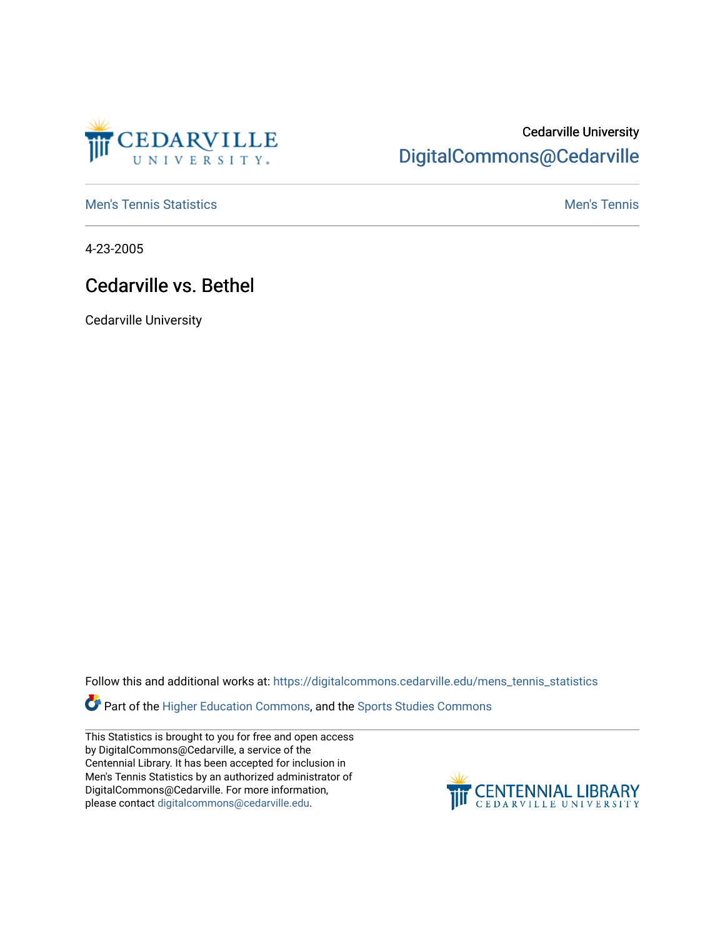

## Cedarville University [DigitalCommons@Cedarville](https://digitalcommons.cedarville.edu/)

**[Men's Tennis Statistics](https://digitalcommons.cedarville.edu/mens_tennis_statistics) Mental According to the Control of Control According Mental Men's Tennis** 

4-23-2005

## Cedarville vs. Bethel

Cedarville University

Follow this and additional works at: [https://digitalcommons.cedarville.edu/mens\\_tennis\\_statistics](https://digitalcommons.cedarville.edu/mens_tennis_statistics?utm_source=digitalcommons.cedarville.edu%2Fmens_tennis_statistics%2F603&utm_medium=PDF&utm_campaign=PDFCoverPages)

Part of the [Higher Education Commons,](http://network.bepress.com/hgg/discipline/1245?utm_source=digitalcommons.cedarville.edu%2Fmens_tennis_statistics%2F603&utm_medium=PDF&utm_campaign=PDFCoverPages) and the Sports Studies Commons

This Statistics is brought to you for free and open access by DigitalCommons@Cedarville, a service of the Centennial Library. It has been accepted for inclusion in Men's Tennis Statistics by an authorized administrator of DigitalCommons@Cedarville. For more information, please contact [digitalcommons@cedarville.edu](mailto:digitalcommons@cedarville.edu).